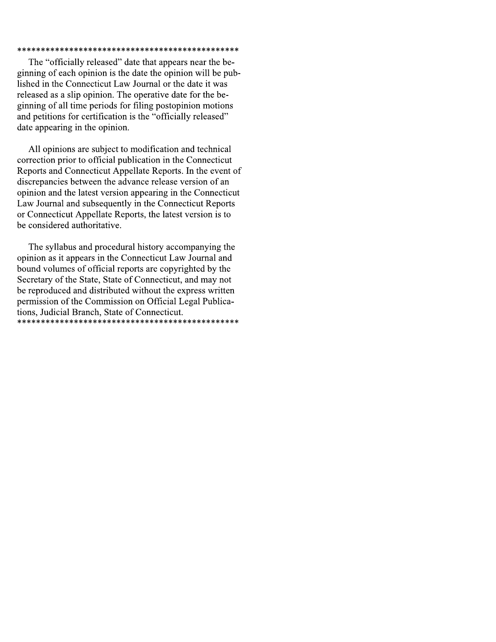#### 

The "officially released" date that appears near the beginning of each opinion is the date the opinion will be published in the Connecticut Law Journal or the date it was released as a slip opinion. The operative date for the beginning of all time periods for filing postopinion motions and petitions for certification is the "officially released" date appearing in the opinion.

All opinions are subject to modification and technical correction prior to official publication in the Connecticut Reports and Connecticut Appellate Reports. In the event of discrepancies between the advance release version of an opinion and the latest version appearing in the Connecticut Law Journal and subsequently in the Connecticut Reports or Connecticut Appellate Reports, the latest version is to be considered authoritative.

The syllabus and procedural history accompanying the opinion as it appears in the Connecticut Law Journal and bound volumes of official reports are copyrighted by the Secretary of the State, State of Connecticut, and may not be reproduced and distributed without the express written permission of the Commission on Official Legal Publications, Judicial Branch, State of Connecticut.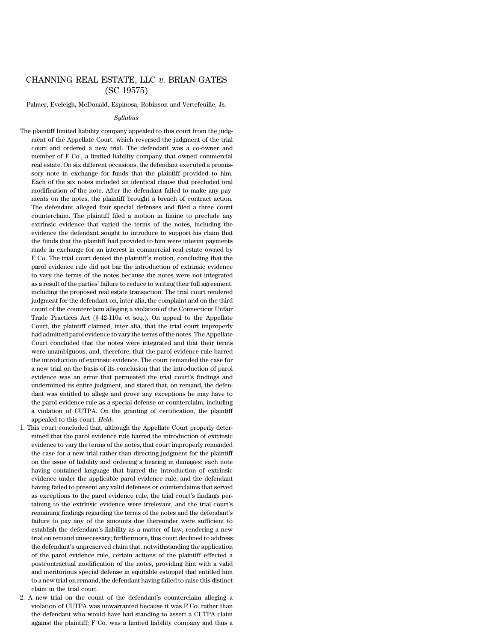## CHANNING REAL ESTATE, LLC *v*. BRIAN GATES (SC 19575)

Palmer, Eveleigh, McDonald, Espinosa, Robinson and Vertefeuille, Js.

#### *Syllabus*

The plaintiff limited liability company appealed to this court from the judgment of the Appellate Court, which reversed the judgment of the trial court and ordered a new trial. The defendant was a co-owner and member of F Co., a limited liability company that owned commercial real estate. On six different occasions, the defendant executed a promissory note in exchange for funds that the plaintiff provided to him. Each of the six notes included an identical clause that precluded oral modification of the note. After the defendant failed to make any payments on the notes, the plaintiff brought a breach of contract action. The defendant alleged four special defenses and filed a three count counterclaim. The plaintiff filed a motion in limine to preclude any extrinsic evidence that varied the terms of the notes, including the evidence the defendant sought to introduce to support his claim that the funds that the plaintiff had provided to him were interim payments made in exchange for an interest in commercial real estate owned by F Co. The trial court denied the plaintiff's motion, concluding that the parol evidence rule did not bar the introduction of extrinsic evidence to vary the terms of the notes because the notes were not integrated as a result of the parties' failure to reduce to writing their full agreement, including the proposed real estate transaction. The trial court rendered judgment for the defendant on, inter alia, the complaint and on the third count of the counterclaim alleging a violation of the Connecticut Unfair Trade Practices Act (§ 42-110a et seq.). On appeal to the Appellate Court, the plaintiff claimed, inter alia, that the trial court improperly had admitted parol evidence to vary the terms of the notes. The Appellate Court concluded that the notes were integrated and that their terms were unambiguous, and, therefore, that the parol evidence rule barred the introduction of extrinsic evidence. The court remanded the case for a new trial on the basis of its conclusion that the introduction of parol evidence was an error that permeated the trial court's findings and undermined its entire judgment, and stated that, on remand, the defendant was entitled to allege and prove any exceptions he may have to the parol evidence rule as a special defense or counterclaim, including a violation of CUTPA. On the granting of certification, the plaintiff appealed to this court. *Held*:

- 1. This court concluded that, although the Appellate Court properly determined that the parol evidence rule barred the introduction of extrinsic evidence to vary the terms of the notes, that court improperly remanded the case for a new trial rather than directing judgment for the plaintiff on the issue of liability and ordering a hearing in damages: each note having contained language that barred the introduction of extrinsic evidence under the applicable parol evidence rule, and the defendant having failed to present any valid defenses or counterclaims that served as exceptions to the parol evidence rule, the trial court's findings pertaining to the extrinsic evidence were irrelevant, and the trial court's remaining findings regarding the terms of the notes and the defendant's failure to pay any of the amounts due thereunder were sufficient to establish the defendant's liability as a matter of law, rendering a new trial on remand unnecessary; furthermore, this court declined to address the defendant's unpreserved claim that, notwithstanding the application of the parol evidence rule, certain actions of the plaintiff effected a postcontractual modification of the notes, providing him with a valid and meritorious special defense in equitable estoppel that entitled him to a new trial on remand, the defendant having failed to raise this distinct claim in the trial court.
- 2. A new trial on the count of the defendant's counterclaim alleging a violation of CUTPA was unwarranted because it was F Co. rather than the defendant who would have had standing to assert a CUTPA claim against the plaintiff; F Co. was a limited liability company and thus a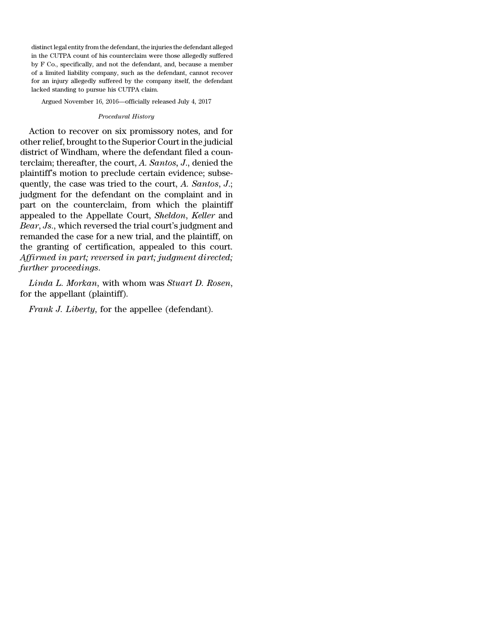distinct legal entity from the defendant, the injuries the defendant alleged in the CUTPA count of his counterclaim were those allegedly suffered by F Co., specifically, and not the defendant, and, because a member of a limited liability company, such as the defendant, cannot recover for an injury allegedly suffered by the company itself, the defendant lacked standing to pursue his CUTPA claim.

Argued November 16, 2016—officially released July 4, 2017

#### *Procedural History*

Action to recover on six promissory notes, and for otherrelief, brought to the Superior Court in the judicial district of Windham, where the defendant filed a counterclaim; thereafter, the court, *A. Santos, J*., denied the plaintiff's motion to preclude certain evidence; subsequently, the case was tried to the court, *A. Santos*, *J*.; judgment for the defendant on the complaint and in part on the counterclaim, from which the plaintiff appealed to the Appellate Court, *Sheldon*, *Keller* and *Bear*, *Js*., which reversed the trial court's judgment and remanded the case for a new trial, and the plaintiff, on the granting of certification, appealed to this court. *Affirmed in part; reversed in part; judgment directed; further proceedings*.

*Linda L. Morkan*, with whom was *Stuart D. Rosen*, for the appellant (plaintiff).

*Frank J. Liberty*, for the appellee (defendant).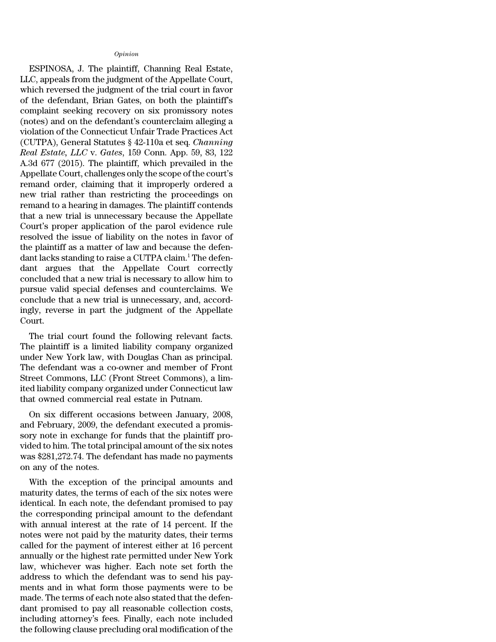### *Opinion*

ESPINOSA, J. The plaintiff, Channing Real Estate, LLC, appeals from the judgment of the Appellate Court, which reversed the judgment of the trial court in favor of the defendant, Brian Gates, on both the plaintiff's complaint seeking recovery on six promissory notes (notes) and on the defendant's counterclaim alleging a violation of the Connecticut Unfair Trade Practices Act (CUTPA), General Statutes § 42-110a et seq. *Channing Real Estate, LLC* v. *Gates*, 159 Conn. App. 59, 83, 122 A.3d 677 (2015). The plaintiff, which prevailed in the Appellate Court, challenges only the scope of the court's remand order, claiming that it improperly ordered a new trial rather than restricting the proceedings on remand to a hearing in damages. The plaintiff contends that a new trial is unnecessary because the Appellate Court's proper application of the parol evidence rule resolved the issue of liability on the notes in favor of the plaintiff as a matter of law and because the defendant lacks standing to raise a CUTPA claim.<sup>1</sup> The defendant argues that the Appellate Court correctly concluded that a new trial is necessary to allow him to pursue valid special defenses and counterclaims. We conclude that a new trial is unnecessary, and, accordingly, reverse in part the judgment of the Appellate Court.

The trial court found the following relevant facts. The plaintiff is a limited liability company organized under New York law, with Douglas Chan as principal. The defendant was a co-owner and member of Front Street Commons, LLC (Front Street Commons), a limited liability company organized under Connecticut law that owned commercial real estate in Putnam.

On six different occasions between January, 2008, and February, 2009, the defendant executed a promissory note in exchange for funds that the plaintiff provided to him. The total principal amount of the six notes was \$281,272.74. The defendant has made no payments on any of the notes.

With the exception of the principal amounts and maturity dates, the terms of each of the six notes were identical. In each note, the defendant promised to pay the corresponding principal amount to the defendant with annual interest at the rate of 14 percent. If the notes were not paid by the maturity dates, their terms called for the payment of interest either at 16 percent annually or the highest rate permitted under New York law, whichever was higher. Each note set forth the address to which the defendant was to send his payments and in what form those payments were to be made. The terms of each note also stated that the defendant promised to pay all reasonable collection costs, including attorney's fees. Finally, each note included the following clause precluding oral modification of the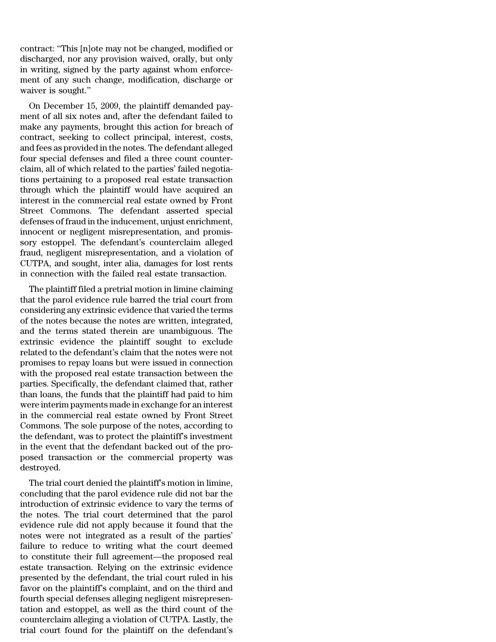contract: ''This [n]ote may not be changed, modified or discharged, nor any provision waived, orally, but only in writing, signed by the party against whom enforcement of any such change, modification, discharge or waiver is sought.''

On December 15, 2009, the plaintiff demanded payment of all six notes and, after the defendant failed to make any payments, brought this action for breach of contract, seeking to collect principal, interest, costs, and fees as provided in the notes. The defendant alleged four special defenses and filed a three count counterclaim, all of which related to the parties' failed negotiations pertaining to a proposed real estate transaction through which the plaintiff would have acquired an interest in the commercial real estate owned by Front Street Commons. The defendant asserted special defenses of fraud in the inducement, unjust enrichment, innocent or negligent misrepresentation, and promissory estoppel. The defendant's counterclaim alleged fraud, negligent misrepresentation, and a violation of CUTPA, and sought, inter alia, damages for lost rents in connection with the failed real estate transaction.

The plaintiff filed a pretrial motion in limine claiming that the parol evidence rule barred the trial court from considering any extrinsic evidence that varied the terms of the notes because the notes are written, integrated, and the terms stated therein are unambiguous. The extrinsic evidence the plaintiff sought to exclude related to the defendant's claim that the notes were not promises to repay loans but were issued in connection with the proposed real estate transaction between the parties. Specifically, the defendant claimed that, rather than loans, the funds that the plaintiff had paid to him were interim payments made in exchange for an interest in the commercial real estate owned by Front Street Commons. The sole purpose of the notes, according to the defendant, was to protect the plaintiff's investment in the event that the defendant backed out of the proposed transaction or the commercial property was destroyed.

The trial court denied the plaintiff's motion in limine, concluding that the parol evidence rule did not bar the introduction of extrinsic evidence to vary the terms of the notes. The trial court determined that the parol evidence rule did not apply because it found that the notes were not integrated as a result of the parties' failure to reduce to writing what the court deemed to constitute their full agreement—the proposed real estate transaction. Relying on the extrinsic evidence presented by the defendant, the trial court ruled in his favor on the plaintiff's complaint, and on the third and fourth special defenses alleging negligent misrepresentation and estoppel, as well as the third count of the counterclaim alleging a violation of CUTPA. Lastly, the trial court found for the plaintiff on the defendant's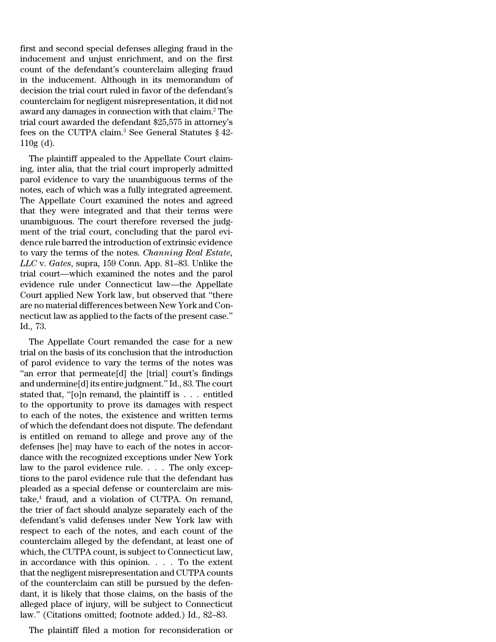first and second special defenses alleging fraud in the inducement and unjust enrichment, and on the first count of the defendant's counterclaim alleging fraud in the inducement. Although in its memorandum of decision the trial court ruled in favor of the defendant's counterclaim for negligent misrepresentation, it did not award any damages in connection with that claim.<sup>2</sup> The trial court awarded the defendant \$25,575 in attorney's fees on the CUTPA claim.<sup>3</sup> See General Statutes  $\S$  42-110g (d).

The plaintiff appealed to the Appellate Court claiming, inter alia, that the trial court improperly admitted parol evidence to vary the unambiguous terms of the notes, each of which was a fully integrated agreement. The Appellate Court examined the notes and agreed that they were integrated and that their terms were unambiguous. The court therefore reversed the judgment of the trial court, concluding that the parol evidence rule barred the introduction of extrinsic evidence to vary the terms of the notes. *Channing Real Estate, LLC* v. *Gates*, supra, 159 Conn. App. 81–83. Unlike the trial court—which examined the notes and the parol evidence rule under Connecticut law—the Appellate Court applied New York law, but observed that ''there are no material differences between New York and Connecticut law as applied to the facts of the present case.'' Id., 73.

The Appellate Court remanded the case for a new trial on the basis of its conclusion that the introduction of parol evidence to vary the terms of the notes was "an error that permeate<sup>[d]</sup> the [trial] court's findings and undermine[d] its entire judgment.'' Id., 83. The court stated that, ''[o]n remand, the plaintiff is . . . entitled to the opportunity to prove its damages with respect to each of the notes, the existence and written terms of which the defendant does not dispute. The defendant is entitled on remand to allege and prove any of the defenses [he] may have to each of the notes in accordance with the recognized exceptions under New York law to the parol evidence rule. . . . The only exceptions to the parol evidence rule that the defendant has pleaded as a special defense or counterclaim are mistake,<sup>4</sup> fraud, and a violation of CUTPA. On remand, the trier of fact should analyze separately each of the defendant's valid defenses under New York law with respect to each of the notes, and each count of the counterclaim alleged by the defendant, at least one of which, the CUTPA count, is subject to Connecticut law, in accordance with this opinion. . . . To the extent that the negligent misrepresentation and CUTPA counts of the counterclaim can still be pursued by the defendant, it is likely that those claims, on the basis of the alleged place of injury, will be subject to Connecticut law.'' (Citations omitted; footnote added.) Id., 82–83.

The plaintiff filed a motion for reconsideration or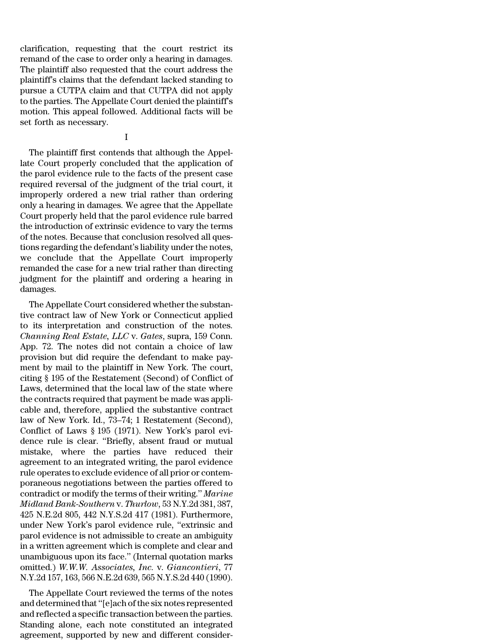clarification, requesting that the court restrict its remand of the case to order only a hearing in damages. The plaintiff also requested that the court address the plaintiff's claims that the defendant lacked standing to pursue a CUTPA claim and that CUTPA did not apply to the parties. The Appellate Court denied the plaintiff's motion. This appeal followed. Additional facts will be set forth as necessary.

I

The plaintiff first contends that although the Appellate Court properly concluded that the application of the parol evidence rule to the facts of the present case required reversal of the judgment of the trial court, it improperly ordered a new trial rather than ordering only a hearing in damages. We agree that the Appellate Court properly held that the parol evidence rule barred the introduction of extrinsic evidence to vary the terms of the notes. Because that conclusion resolved all questions regarding the defendant's liability under the notes, we conclude that the Appellate Court improperly remanded the case for a new trial rather than directing judgment for the plaintiff and ordering a hearing in damages.

The Appellate Court considered whether the substantive contract law of New York or Connecticut applied to its interpretation and construction of the notes. *Channing Real Estate, LLC* v. *Gates*, supra, 159 Conn. App. 72. The notes did not contain a choice of law provision but did require the defendant to make payment by mail to the plaintiff in New York. The court, citing § 195 of the Restatement (Second) of Conflict of Laws, determined that the local law of the state where the contracts required that payment be made was applicable and, therefore, applied the substantive contract law of New York. Id., 73–74; 1 Restatement (Second), Conflict of Laws § 195 (1971). New York's parol evidence rule is clear. ''Briefly, absent fraud or mutual mistake, where the parties have reduced their agreement to an integrated writing, the parol evidence rule operates to exclude evidence of all prior or contemporaneous negotiations between the parties offered to contradict or modify the terms of their writing.'' *Marine Midland Bank-Southern* v. *Thurlow*, 53 N.Y.2d 381, 387, 425 N.E.2d 805, 442 N.Y.S.2d 417 (1981). Furthermore, under New York's parol evidence rule, ''extrinsic and parol evidence is not admissible to create an ambiguity in a written agreement which is complete and clear and unambiguous upon its face.'' (Internal quotation marks omitted.) *W.W.W. Associates, Inc.* v. *Giancontieri*, 77 N.Y.2d 157, 163, 566 N.E.2d 639, 565 N.Y.S.2d 440 (1990).

The Appellate Court reviewed the terms of the notes and determined that "[e]ach of the six notes represented and reflected a specific transaction between the parties. Standing alone, each note constituted an integrated agreement, supported by new and different consider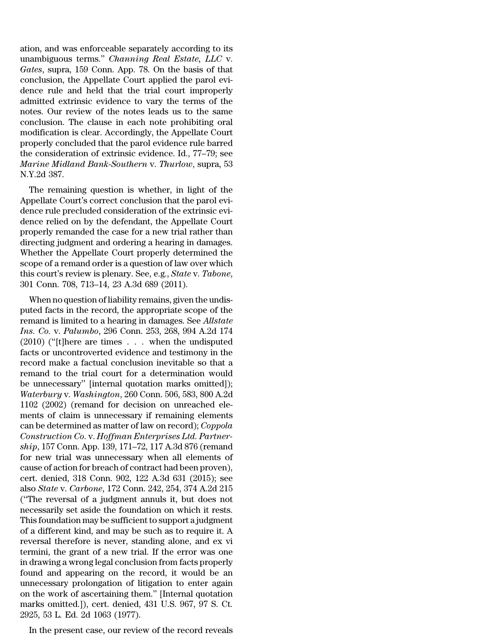ation, and was enforceable separately according to its unambiguous terms.'' *Channing Real Estate, LLC* v. *Gates*, supra, 159 Conn. App. 78. On the basis of that conclusion, the Appellate Court applied the parol evidence rule and held that the trial court improperly admitted extrinsic evidence to vary the terms of the notes. Our review of the notes leads us to the same conclusion. The clause in each note prohibiting oral modification is clear. Accordingly, the Appellate Court properly concluded that the parol evidence rule barred the consideration of extrinsic evidence. Id., 77–79; see *Marine Midland Bank-Southern* v. *Thurlow*, supra, 53 N.Y.2d 387.

The remaining question is whether, in light of the Appellate Court's correct conclusion that the parol evidence rule precluded consideration of the extrinsic evidence relied on by the defendant, the Appellate Court properly remanded the case for a new trial rather than directing judgment and ordering a hearing in damages. Whether the Appellate Court properly determined the scope of a remand order is a question of law over which this court's review is plenary. See, e.g., *State* v. *Tabone*, 301 Conn. 708, 713–14, 23 A.3d 689 (2011).

When no question of liability remains, given the undisputed facts in the record, the appropriate scope of the remand is limited to a hearing in damages. See *Allstate Ins. Co.* v. *Palumbo*, 296 Conn. 253, 268, 994 A.2d 174 (2010) (''[t]here are times . . . when the undisputed facts or uncontroverted evidence and testimony in the record make a factual conclusion inevitable so that a remand to the trial court for a determination would be unnecessary'' [internal quotation marks omitted]); *Waterbury* v. *Washington*, 260 Conn. 506, 583, 800 A.2d 1102 (2002) (remand for decision on unreached elements of claim is unnecessary if remaining elements can be determined as matter of law on record); *Coppola Construction Co.* v. *Hoffman Enterprises Ltd. Partnership*, 157 Conn. App. 139, 171–72, 117 A.3d 876 (remand for new trial was unnecessary when all elements of cause of action for breach of contract had been proven), cert. denied, 318 Conn. 902, 122 A.3d 631 (2015); see also *State* v. *Carbone*, 172 Conn. 242, 254, 374 A.2d 215 (''The reversal of a judgment annuls it, but does not necessarily set aside the foundation on which it rests. This foundation may be sufficient to support a judgment of a different kind, and may be such as to require it. A reversal therefore is never, standing alone, and ex vi termini, the grant of a new trial. If the error was one in drawing a wrong legal conclusion from facts properly found and appearing on the record, it would be an unnecessary prolongation of litigation to enter again on the work of ascertaining them.'' [Internal quotation marks omitted.]), cert. denied, 431 U.S. 967, 97 S. Ct. 2925, 53 L. Ed. 2d 1063 (1977).

In the present case, our review of the record reveals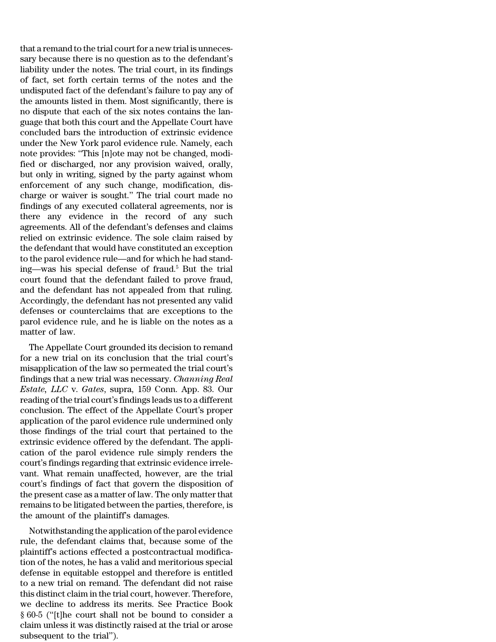that a remand to the trial court for a new trial is unnecessary because there is no question as to the defendant's liability under the notes. The trial court, in its findings of fact, set forth certain terms of the notes and the undisputed fact of the defendant's failure to pay any of the amounts listed in them. Most significantly, there is no dispute that each of the six notes contains the language that both this court and the Appellate Court have concluded bars the introduction of extrinsic evidence under the New York parol evidence rule. Namely, each note provides: ''This [n]ote may not be changed, modified or discharged, nor any provision waived, orally, but only in writing, signed by the party against whom enforcement of any such change, modification, discharge or waiver is sought.'' The trial court made no findings of any executed collateral agreements, nor is there any evidence in the record of any such agreements. All of the defendant's defenses and claims relied on extrinsic evidence. The sole claim raised by the defendant that would have constituted an exception to the parol evidence rule—and for which he had standing—was his special defense of fraud.<sup>5</sup> But the trial court found that the defendant failed to prove fraud, and the defendant has not appealed from that ruling. Accordingly, the defendant has not presented any valid defenses or counterclaims that are exceptions to the parol evidence rule, and he is liable on the notes as a matter of law.

The Appellate Court grounded its decision to remand for a new trial on its conclusion that the trial court's misapplication of the law so permeated the trial court's findings that a new trial was necessary. *Channing Real Estate, LLC* v. *Gates*, supra, 159 Conn. App. 83. Our reading of the trial court's findings leads us to a different conclusion. The effect of the Appellate Court's proper application of the parol evidence rule undermined only those findings of the trial court that pertained to the extrinsic evidence offered by the defendant. The application of the parol evidence rule simply renders the court's findings regarding that extrinsic evidence irrelevant. What remain unaffected, however, are the trial court's findings of fact that govern the disposition of the present case as a matter of law. The only matter that remains to be litigated between the parties, therefore, is the amount of the plaintiff's damages.

Notwithstanding the application of the parol evidence rule, the defendant claims that, because some of the plaintiff's actions effected a postcontractual modification of the notes, he has a valid and meritorious special defense in equitable estoppel and therefore is entitled to a new trial on remand. The defendant did not raise this distinct claim in the trial court, however. Therefore, we decline to address its merits. See Practice Book § 60-5 (''[t]he court shall not be bound to consider a claim unless it was distinctly raised at the trial or arose subsequent to the trial'').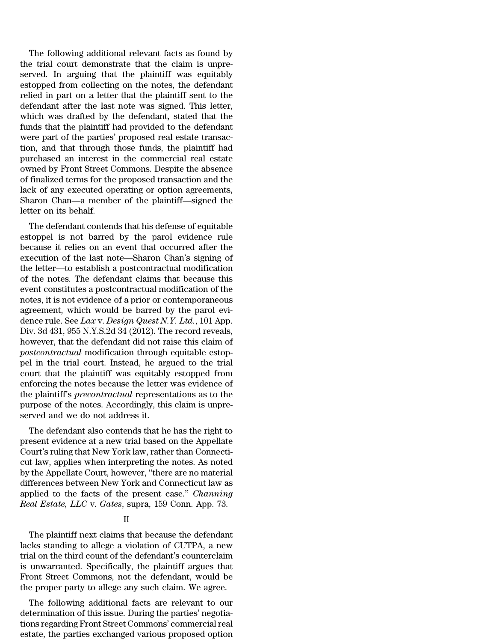The following additional relevant facts as found by the trial court demonstrate that the claim is unpreserved. In arguing that the plaintiff was equitably estopped from collecting on the notes, the defendant relied in part on a letter that the plaintiff sent to the defendant after the last note was signed. This letter, which was drafted by the defendant, stated that the funds that the plaintiff had provided to the defendant were part of the parties' proposed real estate transaction, and that through those funds, the plaintiff had purchased an interest in the commercial real estate owned by Front Street Commons. Despite the absence of finalized terms for the proposed transaction and the lack of any executed operating or option agreements, Sharon Chan—a member of the plaintiff—signed the letter on its behalf.

The defendant contends that his defense of equitable estoppel is not barred by the parol evidence rule because it relies on an event that occurred after the execution of the last note—Sharon Chan's signing of the letter—to establish a postcontractual modification of the notes. The defendant claims that because this event constitutes a postcontractual modification of the notes, it is not evidence of a prior or contemporaneous agreement, which would be barred by the parol evidence rule. See *Lax* v. *Design Quest N.Y. Ltd.*, 101 App. Div. 3d 431, 955 N.Y.S.2d 34 (2012). The record reveals, however, that the defendant did not raise this claim of *postcontractual* modification through equitable estoppel in the trial court. Instead, he argued to the trial court that the plaintiff was equitably estopped from enforcing the notes because the letter was evidence of the plaintiff's *precontractual* representations as to the purpose of the notes. Accordingly, this claim is unpreserved and we do not address it.

The defendant also contends that he has the right to present evidence at a new trial based on the Appellate Court's ruling that New York law, rather than Connecticut law, applies when interpreting the notes. As noted by the Appellate Court, however, ''there are no material differences between New York and Connecticut law as applied to the facts of the present case.'' *Channing Real Estate, LLC* v. *Gates*, supra, 159 Conn. App. 73.

# II

The plaintiff next claims that because the defendant lacks standing to allege a violation of CUTPA, a new trial on the third count of the defendant's counterclaim is unwarranted. Specifically, the plaintiff argues that Front Street Commons, not the defendant, would be the proper party to allege any such claim. We agree.

The following additional facts are relevant to our determination of this issue. During the parties' negotiations regarding Front Street Commons' commercial real estate, the parties exchanged various proposed option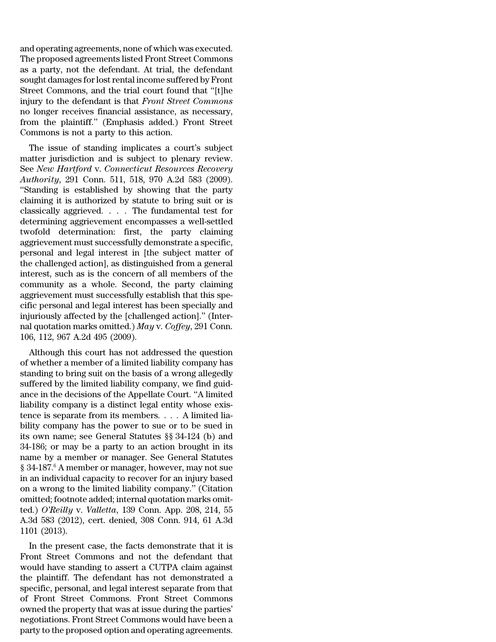and operating agreements, none of which was executed. The proposed agreements listed Front Street Commons as a party, not the defendant. At trial, the defendant sought damages for lost rental income suffered by Front Street Commons, and the trial court found that ''[t]he injury to the defendant is that *Front Street Commons* no longer receives financial assistance, as necessary, from the plaintiff.'' (Emphasis added.) Front Street Commons is not a party to this action.

The issue of standing implicates a court's subject matter jurisdiction and is subject to plenary review. See *New Hartford* v. *Connecticut Resources Recovery Authority*, 291 Conn. 511, 518, 970 A.2d 583 (2009). ''Standing is established by showing that the party claiming it is authorized by statute to bring suit or is classically aggrieved. . . . The fundamental test for determining aggrievement encompasses a well-settled twofold determination: first, the party claiming aggrievement must successfully demonstrate a specific, personal and legal interest in [the subject matter of the challenged action], as distinguished from a general interest, such as is the concern of all members of the community as a whole. Second, the party claiming aggrievement must successfully establish that this specific personal and legal interest has been specially and injuriously affected by the [challenged action].'' (Internal quotation marks omitted.) *May* v. *Coffey*, 291 Conn. 106, 112, 967 A.2d 495 (2009).

Although this court has not addressed the question of whether a member of a limited liability company has standing to bring suit on the basis of a wrong allegedly suffered by the limited liability company, we find guidance in the decisions of the Appellate Court. ''A limited liability company is a distinct legal entity whose existence is separate from its members. . . . A limited liability company has the power to sue or to be sued in its own name; see General Statutes §§ 34-124 (b) and 34-186; or may be a party to an action brought in its name by a member or manager. See General Statutes § 34-187.<sup>6</sup> A member or manager, however, may not sue in an individual capacity to recover for an injury based on a wrong to the limited liability company.'' (Citation omitted; footnote added; internal quotation marks omitted.) *O'Reilly* v. *Valletta*, 139 Conn. App. 208, 214, 55 A.3d 583 (2012), cert. denied, 308 Conn. 914, 61 A.3d 1101 (2013).

In the present case, the facts demonstrate that it is Front Street Commons and not the defendant that would have standing to assert a CUTPA claim against the plaintiff. The defendant has not demonstrated a specific, personal, and legal interest separate from that of Front Street Commons. Front Street Commons owned the property that was at issue during the parties' negotiations. Front Street Commons would have been a party to the proposed option and operating agreements.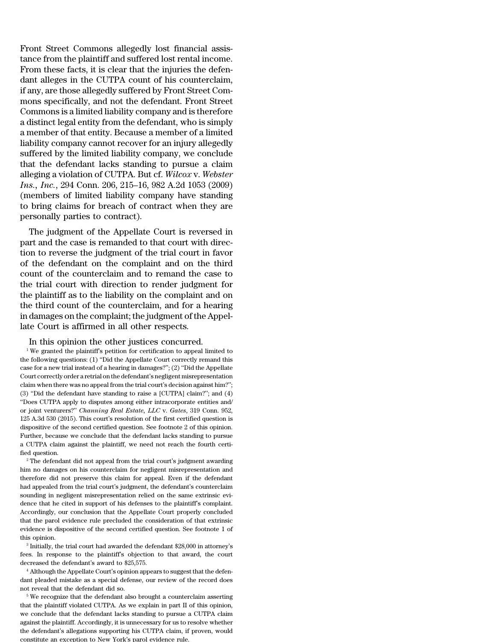Front Street Commons allegedly lost financial assistance from the plaintiff and suffered lost rental income. From these facts, it is clear that the injuries the defendant alleges in the CUTPA count of his counterclaim, if any, are those allegedly suffered by Front Street Commons specifically, and not the defendant. Front Street Commons is a limited liability company and is therefore a distinct legal entity from the defendant, who is simply a member of that entity. Because a member of a limited liability company cannot recover for an injury allegedly suffered by the limited liability company, we conclude that the defendant lacks standing to pursue a claim alleging a violation of CUTPA. But cf. *Wilcox* v. *Webster Ins., Inc.*, 294 Conn. 206, 215–16, 982 A.2d 1053 (2009) (members of limited liability company have standing to bring claims for breach of contract when they are personally parties to contract).

The judgment of the Appellate Court is reversed in part and the case is remanded to that court with direction to reverse the judgment of the trial court in favor of the defendant on the complaint and on the third count of the counterclaim and to remand the case to the trial court with direction to render judgment for the plaintiff as to the liability on the complaint and on the third count of the counterclaim, and for a hearing in damages on the complaint; the judgment of the Appellate Court is affirmed in all other respects.

In this opinion the other justices concurred.

<sup>1</sup> We granted the plaintiff's petition for certification to appeal limited to the following questions: (1) ''Did the Appellate Court correctly remand this case for a new trial instead of a hearing in damages?''; (2) ''Did the Appellate Court correctly order a retrial on the defendant's negligent misrepresentation claim when there was no appeal from the trial court's decision against him?''; (3) ''Did the defendant have standing to raise a [CUTPA] claim?''; and (4) ''Does CUTPA apply to disputes among either intracorporate entities and/ or joint venturers?'' *Channing Real Estate, LLC* v. *Gates*, 319 Conn. 952, 125 A.3d 530 (2015). This court's resolution of the first certified question is dispositive of the second certified question. See footnote 2 of this opinion. Further, because we conclude that the defendant lacks standing to pursue a CUTPA claim against the plaintiff, we need not reach the fourth certified question.

 $2$ <sup>2</sup> The defendant did not appeal from the trial court's judgment awarding him no damages on his counterclaim for negligent misrepresentation and therefore did not preserve this claim for appeal. Even if the defendant had appealed from the trial court's judgment, the defendant's counterclaim sounding in negligent misrepresentation relied on the same extrinsic evidence that he cited in support of his defenses to the plaintiff's complaint. Accordingly, our conclusion that the Appellate Court properly concluded that the parol evidence rule precluded the consideration of that extrinsic evidence is dispositive of the second certified question. See footnote 1 of this opinion.

3 Initially, the trial court had awarded the defendant \$28,000 in attorney's fees. In response to the plaintiff's objection to that award, the court decreased the defendant's award to \$25,575.

<sup>4</sup> Although the Appellate Court's opinion appears to suggest that the defendant pleaded mistake as a special defense, our review of the record does not reveal that the defendant did so.

<sup>5</sup> We recognize that the defendant also brought a counterclaim asserting that the plaintiff violated CUTPA. As we explain in part II of this opinion, we conclude that the defendant lacks standing to pursue a CUTPA claim against the plaintiff. Accordingly, it is unnecessary for us to resolve whether the defendant's allegations supporting his CUTPA claim, if proven, would constitute an exception to New York's parol evidence rule.